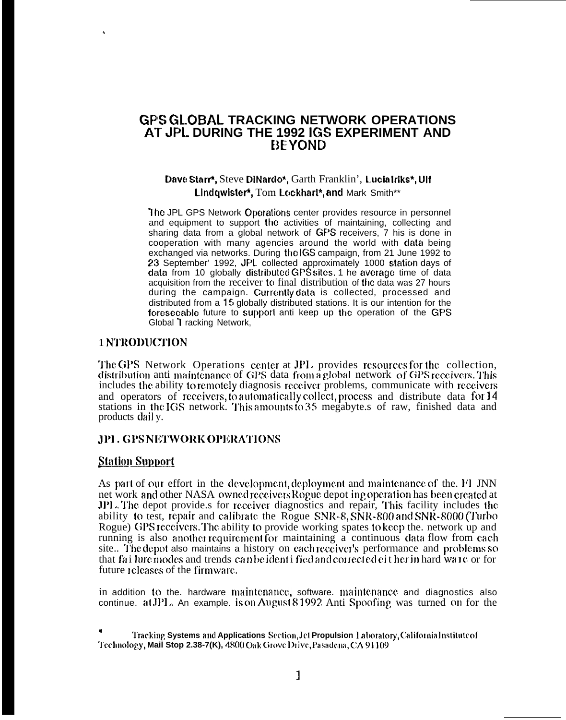# **GPS GLOBAL TRACKING NETWORK OPERATIONS** AT JPL DURING THE 1992 IGS EXPERIMENT AND **BEYOND**

## Dave Starr\*, Steve DiNardo\*, Garth Franklin', Lucia Irlks\*, Ulf Lindowister\*, Tom Lockhart\*, and Mark Smith\*\*

The JPL GPS Network Operations center provides resource in personnel and equipment to support the activities of maintaining, collecting and sharing data from a global network of GPS receivers, 7 his is done in cooperation with many agencies around the world with data being exchanged via networks. During the IGS campaign, from 21 June 1992 to 23 September' 1992, JPL collected approximately 1000 station days of data from 10 globally distributed GPS sites. 1 he average time of data acquisition from the receiver to final distribution of the data was 27 hours during the campaign. Currently data is collected, processed and distributed from a 15 globally distributed stations. It is our intention for the foreseeable future to support anti keep up the operation of the GPS Global T racking Network,

### **1 NTRODUCTION**

The GPS Network Operations center at JPL provides resources for the collection, distribution anti-maintenance of GPS data from a global network of GPS receivers. This includes the ability to remotely diagnosis receiver problems, communicate with receivers and operators of receivers, to automatically collect, process and distribute data for 14 stations in the IGS network. This amounts to 35 megabyte s of raw, finished data and products dail y.

### **JPL GPS NETWORK OPERATIONS**

#### **Station Support**

As part of our effort in the development, deployment and maintenance of the. FI JNN net work and other NASA owned receivers Rogue depot ing operation has been created at JPL. The depot provide s for receiver diagnostics and repair, This facility includes the ability to test, repair and calibrate the Rogue SNR-8, SNR-800 and SNR-8000 (Turbo Rogue) GPS receivers. The ability to provide working spates to keep the network up and running is also another requirement for maintaining a continuous data flow from each site.. The depot also maintains a history on each receiver's performance and problems so that failure modes and trends can be ident if ed and corrected either in hard ware or for future releases of the firmware.

in addition to the. hardware maintenance, software. maintenance and diagnostics also continue. at JPL. An example. is on August 81992. Anti Spoofing was turned on for the

Tracking Systems and Applications Section, Jet Propulsion Laboratory, California Institute of Technology, Mail Stop 2.38-7(K), 4800 Oak Grove Drive, Pasadena, CA 91109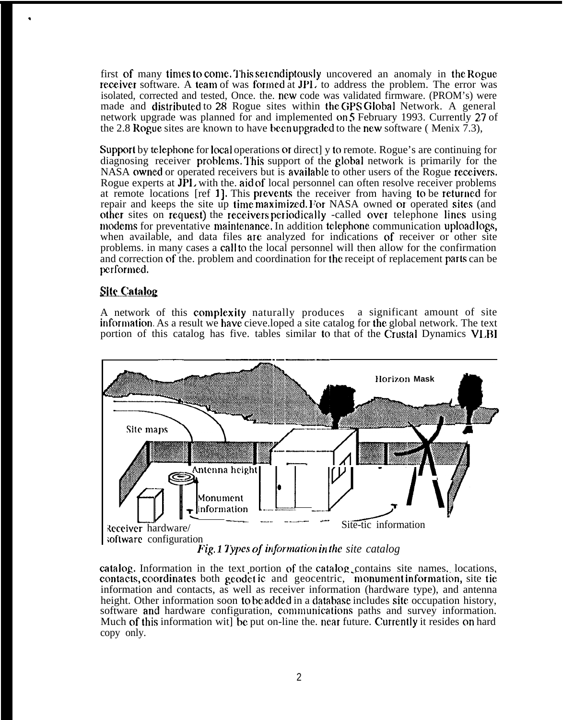first of many times to come. This selendiptously uncovered an anomaly in the Rogue. receiver software. A team of was formed at JPI. to address the problem. The error was isolated, corrected and tested, Once. the. ncw code was validated firmware. (PROM's) were made and distributed to 28 Rogue sites within the GPS Global Network. A general network upgrade was planned for and implemented on 5 February 1993. Currently 27 of the 2.8 Rogue sites are known to have been upgraded to the new software (Menix 7.3),

Support by telephone for local operations or direct] y to remote. Rogue's are continuing for diagnosing receiver problems. This support of the global network is primarily for the NASA owned or operated receivers but is available to other users of the Rogue receivers. Rogue experts at JPL with the aid of local personnel can often resolve receiver problems at remote locations [ref 1], This prevemts the receiver from having to be returned for repair and keeps the site up time maximized. For NASA owned or operated sites (and other sites on request) the receivers periodically -called over telephone lines using modems for preventative maintenance. In addition telephone communication uploadlogs, when available, and data files are analyzed for indications of receiver or other site problems. in many cases a call to the local personnel will then allow for the confirmation and correction of the. problem and coordination for the receipt of replacement parts can be performed.

### **Site Catalog**

.

A network of this complexity naturally produces a significant amount of site inforniation As a result we have cieve.loped a site catalog for the global network. The text portion of this catalog has five. tables similar to that of the Crustal Dynamics VLBI



catalog. Information in the text portion of the catalog contains site names, locations, contacts, coordinates both geodetic and geocentric, monument information, site tie information and contacts, as well as receiver information (hardware type), and antenna height. Other information soon to be added in a database includes site occupation history, software and hardware configuration, communications paths and survey information. Much of this information wit be put on-line the. near future. Currently it resides on hard copy only.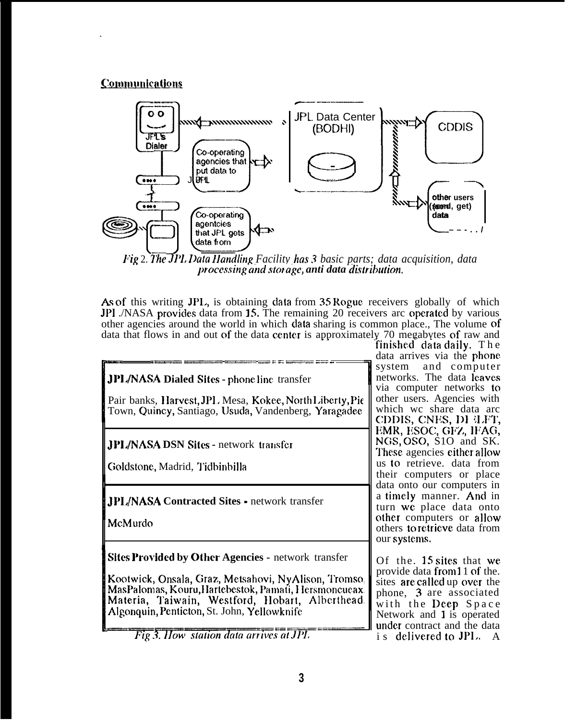# **Communications**



Fig 2. The JPL Data Handling Facility has 3 basic parts; data acquisition, data processing and storage, anti data distribution.

As of this writing JPL, is obtaining data from 35 Rogue receivers globally of which JPI . NASA provides data from 15. The remaining 20 receivers are operated by various other agencies around the world in which data sharing is common place., The volume of data that flows in and out of the data center is approximately 70 megabytes of raw and

**JPL/NASA Dialed Sites - phone line transfer** Pair banks, Harvest, JPL Mesa, Kokee, North Liberty, Pie Town, Quincy, Santiago, Usuda, Vandenberg, Yaragadee JPL/NASA DSN Sites - network transfer Goldstone, Madrid, Tidbinbilla **JPL/NASA Contracted Sites - network transfer** McMurdo **Sites Provided by Other Agencies - network transfer** Kootwick, Onsala, Graz, Metsahovi, NyAlison, Tromso. MasPalomas, Kouru, Hartebestok, Pamati, Hersmoncueax. Materia, Taiwain, Westford, Hobart, Alberthead. Algonquin, Penticton, St. John, Yellowknife

Fig 3. How station data arrives at JPL

finished data daily. The data arrives via the phone system and computer networks. The data leaves via computer networks to other users. Agencies with which we share data arc CDDIS, CNES, DI LET, EMR, ESOC, GFZ, IFAG, NGS, OSO, S1O and SK. These agencies either allow us to retrieve. data from their computers or place data onto our computers in a timely manner. And in turn we place data onto other computers or allow others to retrieve data from our systems.

Of the 15 sites that we provide data from 1 1 of the. sites are called up over the phone, 3 are associated with the Deep Space Network and 1 is operated under contract and the data is delivered to JPL. A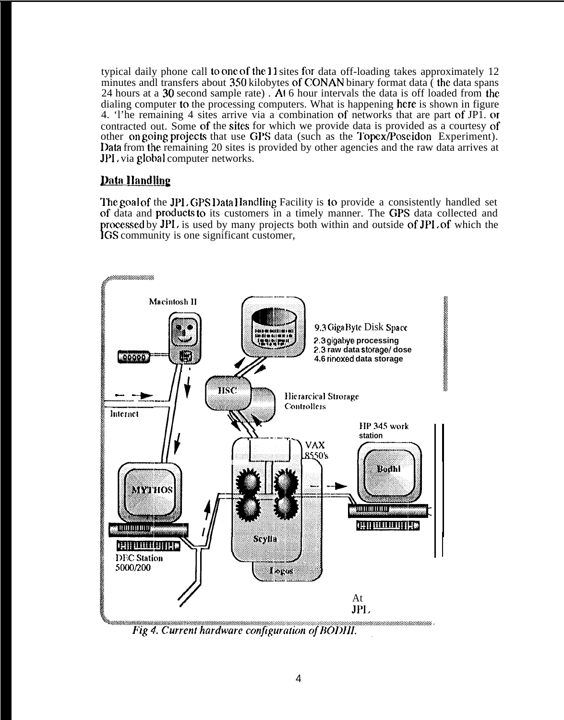typical daily phone call to one of the 11 sites for data off-loading takes approximately 12 minutes and transfers about 350 kilobytes of CONAN binary format data (the data spans 24 hours at a 30 second sample rate). At 6 hour intervals the data is off loaded from the dialing computer to the processing computers. What is happening here is shown in figure 4. The remaining 4 sites arrive via a combination of networks that are part of JPI. or contracted out. Some of the sites for which we provide data is provided as a courtesy of other on going projects that use GPS data (such as the Topex/Poseidon Experiment). Data from the remaining 20 sites is provided by other agencies and the raw data arrives at **JPI**, via global computer networks.

# **Data Handling**

The goal of the JPL GPS Data Handling Facility is to provide a consistently handled set of data and products to its customers in a timely manner. The GPS data collected and processed by JPL is used by many projects both within and outside of JPL of which the IGS community is one significant customer,



Fig 4. Current hardware configuration of BODHI.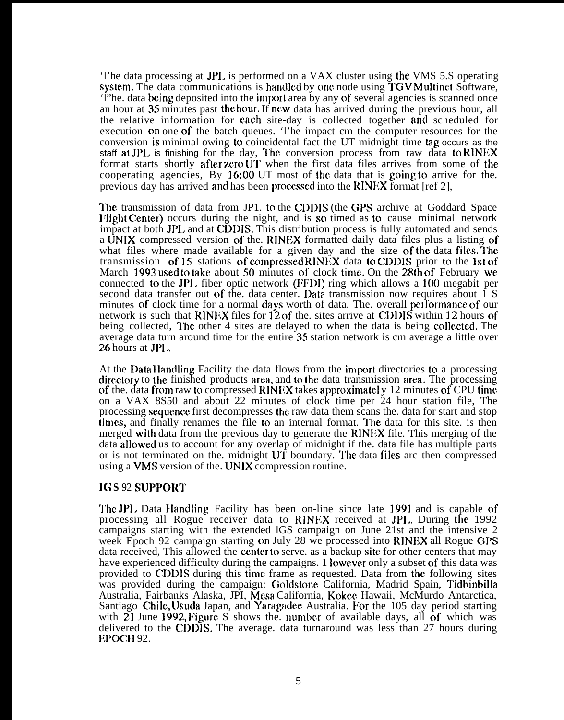'l'he data processing at JPI. is performed on a VAX cluster using the VMS 5.S operating system. The data communications is handled by one node using TGV Multinet Software, 'l"he. data being deposited into the import area by any of several agencies is scanned once an hour at 35 minutes past the hour, If new data has arrived during the previous hour, all the relative information for each site-day is collected together and scheduled for execution on one of the batch queues. 'l'he impact cm the computer resources for the conversion is minimal owing to coincidental fact the UT midnight time tag occurs as the staff at JPL is finishing for the day, The conversion process from raw data to RINEX format starts shortly after zero UT when the first data files arrives from some of the cooperating agencies, By 16:00 UT most of the data that is going to arrive for the. previous day has arrived and has been pmccssed into the RINEX format [ref 2],

The transmission of data from JP1. to the CDDIS (the GPS archive at Goddard Space Flight Center) occurs during the night, and is so timed as to cause minimal network impact at both JPL and at CDDIS. This distribution process is fully automated and sends a UNIX compressed version of the. RINEX formatted daily data files plus a listing of what files where made available for a given day and the size of the data files. The transmission of 15 stations of complcssed RINEX data to CDDIS prior to the 1st of March 1993 used to take, about 50 minutes of clock time. On the 28th of February we. connected to the JPI. fiber optic network (FFDI) ring which allows a 100 megabit per second data transfer out of the. data center. I)ata transmission now requires about 1 S minutes of clock time for a normal days worth of data. The. overall performance of our network is such that RINEX files for 12 of the. sites arrive at CDDIS within 12 hours of being collected, The other 4 sites are delayed to when the data is being collected. The average data turn around time for the entire 3S station network is cm average a little over 26 hours at JPL.

At the Data Handling Facility the data flows from the import directories to a processing directory to the finished products area, and to the data transmission area. The processing of the. data from raw to compressed RINEX takes approximatel y 12 minutes of CPU time on a VAX 8S50 and about 22 minutes of clock time per 24 hour station file, The processing sequemcc first decompresses the raw data them scans the. data for start and stop times, and finally renames the file to an internal format. The data for this site. is then merged with data from the previous day to generate the RINFX file. This merging of the data allowed us to account for any overlap of midnight if the. data file has multiple parts or is not terminated on the. midnight  $\bf{U} \hat{\bf{T}}$  boundary. The data files arc then compressed using a VMS version of the. UNIX compression routine.

## **IG S** 92 SLJPPORT

The JPL. Data Handling Facility has been on-line since late 1991 and is capable of processing all Rogue receiver data to RINEX received at JP1. During the 1992 campaigns starting with the extended lGS campaign on June 21st and the intensive 2 week Epoch 92 campaign starting on July 28 we processed into RINEX all Rogue GPS data received, This allowed the center to serve. as a backup site for other centers that may have experienced difficulty during the campaigns. 1 lowever only a subset of this data was provided to CXIDIS during this time, frame as requested. Data from the following sites was provided during the campaign: Goldstone California, Madrid Spain, Tidbinbilla Australia, Fairbanks Alaska, JPI, Mesa California, Kokee Hawaii, McMurdo Antarctica, Santiago Chile, Usuda Japan, and Yaragadee Australia. For the 105 day period starting with 21 June 1992, Figure S shows the. number of available days, all of which was delivered to the CDDIS, The average. data turnaround was less than 27 hours during EPOCH 92.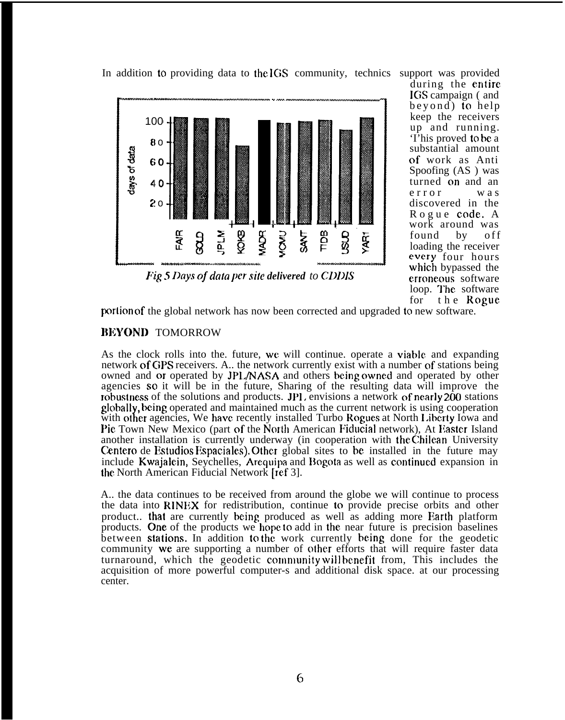

In addition to providing data to the IGS community, technics

support was provided during the entire IGS campaign (and beyond) to help keep the receivers up and running. 'I'his proved to bc a substantial amount of work as Anti Spoofing (AS ) was turned on and an error was discovered in the Rogue code, A work around was found by off loading the receiver everv four hours which bypassed the crroneous software loop. The software<br>for the Rogue the Rogue

porlicm of the global network has now been corrected and upgraded to new software.

## **IIEYONI)** TOMORROW

As the clock rolls into the. future, we will continue. operate a viable and expanding network of GPS receivers. A.. the network currently exist with a number of stations being owned and or operated by JP1./NASA and others being owned and operated by other agencies so it will be in the future, Sharing of the resulting data will improve the robustness of the solutions and products. JPI, envisions a network of nearly 200 stations globalty, being operated and maintained much as the current network is using cooperation with other agencies, We have recently installed Turbo Rogues at North Liberty Iowa and Pie Town New Mexico (part of the North American Fiducial network), At Easter Island another installation is currently underway (in cooperation with the Chilean University Centero de Estudios Espaciales), Other global sites to be installed in the future may include Kwajalein, Seychelles, Arequipa and Bogota as well as continued expansion in the North American Fiducial Network [ref 3].

A.. the data continues to be received from around the globe we will continue to process the data into RINEX for redistribution, continue to provide precise orbits and other product.. that are currently being produced as well as adding more Earth platform products. One of the products we hope to add in the near future is precision baselines between stations. In addition to the work currently being done for the geodetic community we are supporting a number of other efforts that will require faster data turnaround, which the geodetic community will benefit from, This includes the acquisition of more powerful computer-s and additional disk space. at our processing center.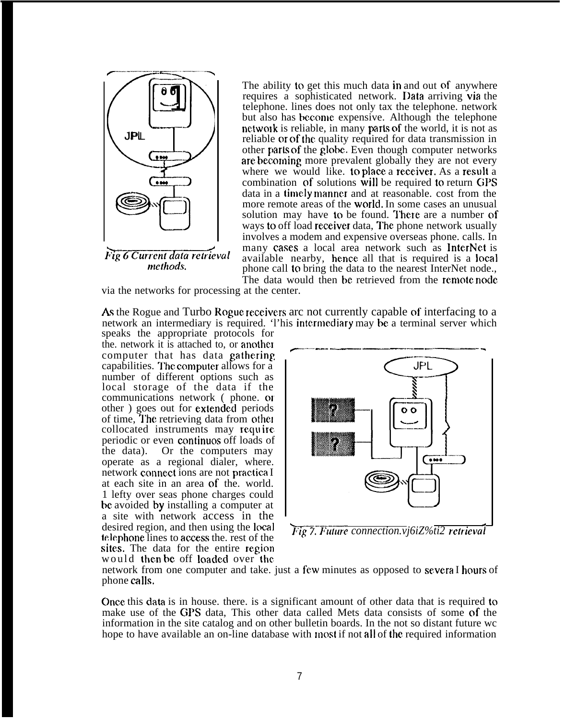

Fig 6 Current data retrieval methods.

The ability to get this much data in and out of anywhere requires a sophisticated network. Data arriving via the telephone. lines does not only tax the telephone. network but also has become expensive. Although the telephone network is reliable, in many **parts** of the world, it is not as reliable or of the quality required for data transmission in other park of the globe. Even though computer networks are becoming more prevalent globally they are not every where we would like. to place a receiver. As a result a combination of solutions will be required to return GPS data in a timely mannet and at reasonable. cost from the more remote areas of the world. In some cases an unusual solution may have to be found. There are a number of ways to off load receiver data, The phone network usually involves a modem and expensive overseas phone. calls. In many cases a local area network such as InterNct is available nearby, hence all that is required is a local phone call to bring the data to the nearest InterNet node., The data would then be retrieved from the remote node.

via the networks for processing at the center.

As the Rogue and Turbo Rogue receivers arc not currently capable of interfacing to a network an intermediary is required. This intermediary may be a terminal server which

speaks the appropriate protocols for the. network it is attached to, or another computer that has data gathering capabilities. The computer allows for a number of different options such as local storage of the data if the communications network ( phone. oi other ) goes out for **extended** periods of time, The retrieving data from othel collocated instruments may require periodic or even continuos of loads of<br>the data). Or the computers may Or the computers may operate as a regional dialer, where. network connect ions are not practica I at each site in an area of the. world. 1 lefty over seas phone charges could be avoided by installing a computer at a site with network access in the desired region, and then using the local desired region, and then using the local *17ig 7. Future connection.vj6iZ%ti2 retrieval*<br>telephone lines to access the. rest of the sites. The data for the entire region would then bc off Ioadcd over the



network from one computer and take, just a few minutes as opposed to several hours of phone calls,

Once this data is in house, there, is a significant amount of other data that is required to make use of the GPS data, This other data called Mets data consists of some of the information in the site catalog and on other bulletin boards. In the not so distant future wc hope to have available an on-line database with most if not all of the required information